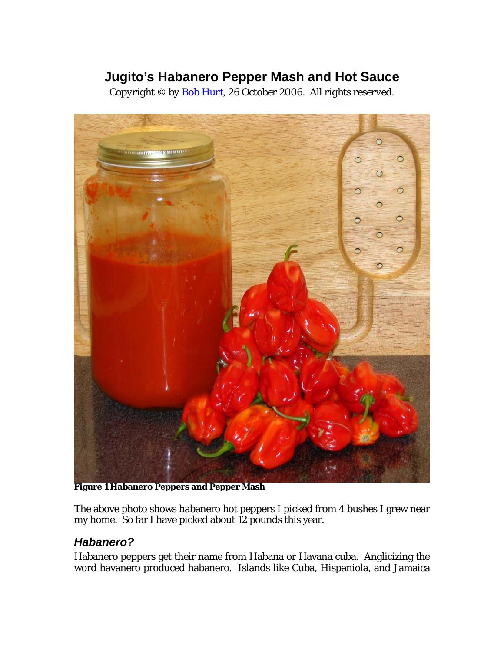# **Jugito's Habanero Pepper Mash and Hot Sauce**

*Copyright © by [Bob Hurt](http://bobhurt.com/), 26 October 2006. All rights reserved.* 



**Figure 1 Habanero Peppers and Pepper Mash** 

The above photo shows habanero hot peppers I picked from 4 bushes I grew near my home. So far I have picked about 12 pounds this year.

# *Habanero?*

Habanero peppers get their name from Habana or Havana cuba. Anglicizing the word havanero produced habanero. Islands like Cuba, Hispaniola, and Jamaica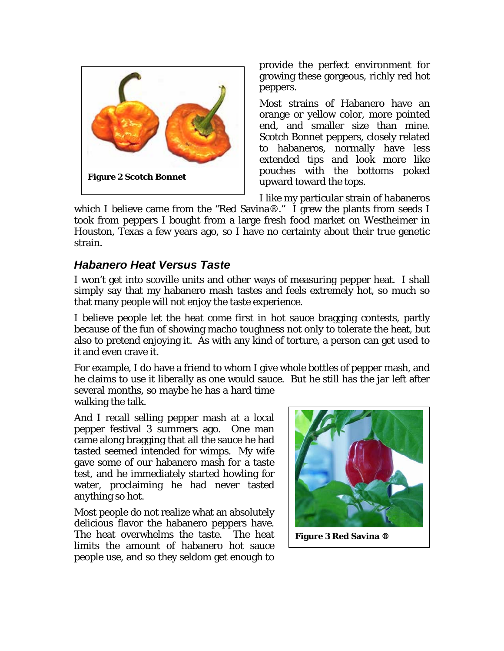

provide the perfect environment for growing these gorgeous, richly red hot peppers.

Most strains of Habanero have an orange or yellow color, more pointed end, and smaller size than mine. Scotch Bonnet peppers, closely related to habaneros, normally have less extended tips and look more like pouches with the bottoms poked upward toward the tops.

I like my particular strain of habaneros

which I believe came from the "Red Savina®." I grew the plants from seeds I took from peppers I bought from a large fresh food market on Westheimer in Houston, Texas a few years ago, so I have no certainty about their true genetic strain.

#### *Habanero Heat Versus Taste*

I won't get into scoville units and other ways of measuring pepper heat. I shall simply say that my habanero mash tastes and feels extremely hot, so much so that many people will not enjoy the taste experience.

I believe people let the heat come first in hot sauce bragging contests, partly because of the fun of showing macho toughness not only to tolerate the heat, but also to pretend enjoying it. As with any kind of torture, a person can get used to it and even crave it.

For example, I do have a friend to whom I give whole bottles of pepper mash, and he claims to use it liberally as one would sauce. But he still has the jar left after several months, so maybe he has a hard time

walking the talk.

And I recall selling pepper mash at a local pepper festival 3 summers ago. One man came along bragging that all the sauce he had tasted seemed intended for wimps. My wife gave some of our habanero mash for a taste test, and he immediately started howling for water, proclaiming he had never tasted anything so hot.

Most people do not realize what an absolutely delicious flavor the habanero peppers have. The heat overwhelms the taste. The heat limits the amount of habanero hot sauce people use, and so they seldom get enough to



**Figure 3 Red Savina ®**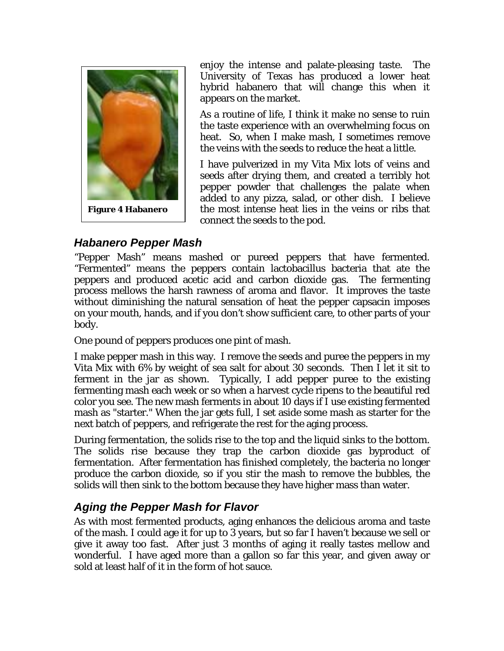

enjoy the intense and palate-pleasing taste. The University of Texas has produced a lower heat hybrid habanero that will change this when it appears on the market.

As a routine of life, I think it make no sense to ruin the taste experience with an overwhelming focus on heat. So, when I make mash, I sometimes remove the veins with the seeds to reduce the heat a little.

I have pulverized in my Vita Mix lots of veins and seeds after drying them, and created a terribly hot pepper powder that challenges the palate when added to any pizza, salad, or other dish. I believe the most intense heat lies in the veins or ribs that connect the seeds to the pod.

# *Habanero Pepper Mash*

"Pepper Mash" means mashed or pureed peppers that have fermented. "Fermented" means the peppers contain lactobacillus bacteria that ate the peppers and produced acetic acid and carbon dioxide gas. The fermenting process mellows the harsh rawness of aroma and flavor. It improves the taste without diminishing the natural sensation of heat the pepper capsacin imposes on your mouth, hands, and if you don't show sufficient care, to other parts of your body.

One pound of peppers produces one pint of mash.

I make pepper mash in this way. I remove the seeds and puree the peppers in my Vita Mix with 6% by weight of sea salt for about 30 seconds. Then I let it sit to ferment in the jar as shown. Typically, I add pepper puree to the existing fermenting mash each week or so when a harvest cycle ripens to the beautiful red color you see. The new mash ferments in about 10 days if I use existing fermented mash as "starter." When the jar gets full, I set aside some mash as starter for the next batch of peppers, and refrigerate the rest for the aging process.

During fermentation, the solids rise to the top and the liquid sinks to the bottom. The solids rise because they trap the carbon dioxide gas byproduct of fermentation. After fermentation has finished completely, the bacteria no longer produce the carbon dioxide, so if you stir the mash to remove the bubbles, the solids will then sink to the bottom because they have higher mass than water.

# *Aging the Pepper Mash for Flavor*

As with most fermented products, aging enhances the delicious aroma and taste of the mash. I could age it for up to 3 years, but so far I haven't because we sell or give it away too fast. After just 3 months of aging it really tastes mellow and wonderful. I have aged more than a gallon so far this year, and given away or sold at least half of it in the form of hot sauce.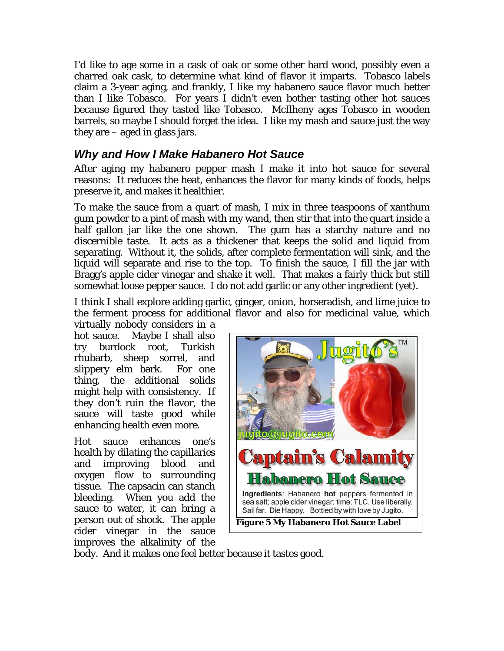I'd like to age some in a cask of oak or some other hard wood, possibly even a charred oak cask, to determine what kind of flavor it imparts. Tobasco labels claim a 3-year aging, and frankly, I like my habanero sauce flavor much better than I like Tobasco. For years I didn't even bother tasting other hot sauces because figured they tasted like Tobasco. McIlheny ages Tobasco in wooden barrels, so maybe I should forget the idea. I like my mash and sauce just the way they are – aged in glass jars.

### *Why and How I Make Habanero Hot Sauce*

After aging my habanero pepper mash I make it into hot sauce for several reasons: It reduces the heat, enhances the flavor for many kinds of foods, helps preserve it, and makes it healthier.

To make the sauce from a quart of mash, I mix in three teaspoons of xanthum gum powder to a pint of mash with my wand, then stir that into the quart inside a half gallon jar like the one shown. The gum has a starchy nature and no discernible taste. It acts as a thickener that keeps the solid and liquid from separating. Without it, the solids, after complete fermentation will sink, and the liquid will separate and rise to the top. To finish the sauce, I fill the jar with Bragg's apple cider vinegar and shake it well. That makes a fairly thick but still somewhat loose pepper sauce. I do not add garlic or any other ingredient (yet).

I think I shall explore adding garlic, ginger, onion, horseradish, and lime juice to the ferment process for additional flavor and also for medicinal value, which

virtually nobody considers in a hot sauce. Maybe I shall also try burdock root, Turkish rhubarb, sheep sorrel, and slippery elm bark. For one thing, the additional solids might help with consistency. If they don't ruin the flavor, the sauce will taste good while enhancing health even more.

Hot sauce enhances one's health by dilating the capillaries and improving blood and oxygen flow to surrounding tissue. The capsacin can stanch bleeding. When you add the sauce to water, it can bring a person out of shock. The apple cider vinegar in the sauce improves the alkalinity of the



body. And it makes one feel better because it tastes good.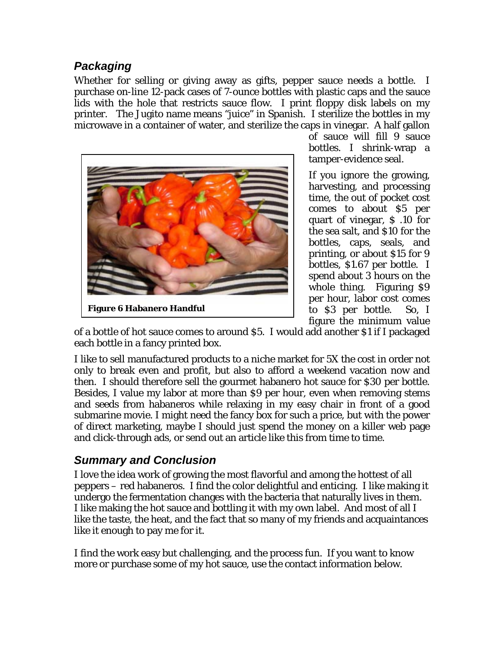#### *Packaging*

Whether for selling or giving away as gifts, pepper sauce needs a bottle. I purchase on-line 12-pack cases of 7-ounce bottles with plastic caps and the sauce lids with the hole that restricts sauce flow. I print floppy disk labels on my printer. The Jugito name means "juice" in Spanish. I sterilize the bottles in my microwave in a container of water, and sterilize the caps in vinegar. A half gallon



of sauce will fill 9 sauce bottles. I shrink-wrap a tamper-evidence seal.

If you ignore the growing, harvesting, and processing time, the out of pocket cost comes to about \$5 per quart of vinegar, \$ .10 for the sea salt, and \$10 for the bottles, caps, seals, and printing, or about \$15 for 9 bottles, \$1.67 per bottle. I spend about 3 hours on the whole thing. Figuring \$9 per hour, labor cost comes to \$3 per bottle. So, I figure the minimum value

of a bottle of hot sauce comes to around \$5. I would add another \$1 if I packaged each bottle in a fancy printed box.

I like to sell manufactured products to a niche market for 5X the cost in order not only to break even and profit, but also to afford a weekend vacation now and then. I should therefore sell the gourmet habanero hot sauce for \$30 per bottle. Besides, I value my labor at more than \$9 per hour, even when removing stems and seeds from habaneros while relaxing in my easy chair in front of a good submarine movie. I might need the fancy box for such a price, but with the power of direct marketing, maybe I should just spend the money on a killer web page and click-through ads, or send out an article like this from time to time.

# *Summary and Conclusion*

I love the idea work of growing the most flavorful and among the hottest of all peppers – red habaneros. I find the color delightful and enticing. I like making it undergo the fermentation changes with the bacteria that naturally lives in them. I like making the hot sauce and bottling it with my own label. And most of all I like the taste, the heat, and the fact that so many of my friends and acquaintances like it enough to pay me for it.

I find the work easy but challenging, and the process fun. If you want to know more or purchase some of my hot sauce, use the contact information below.